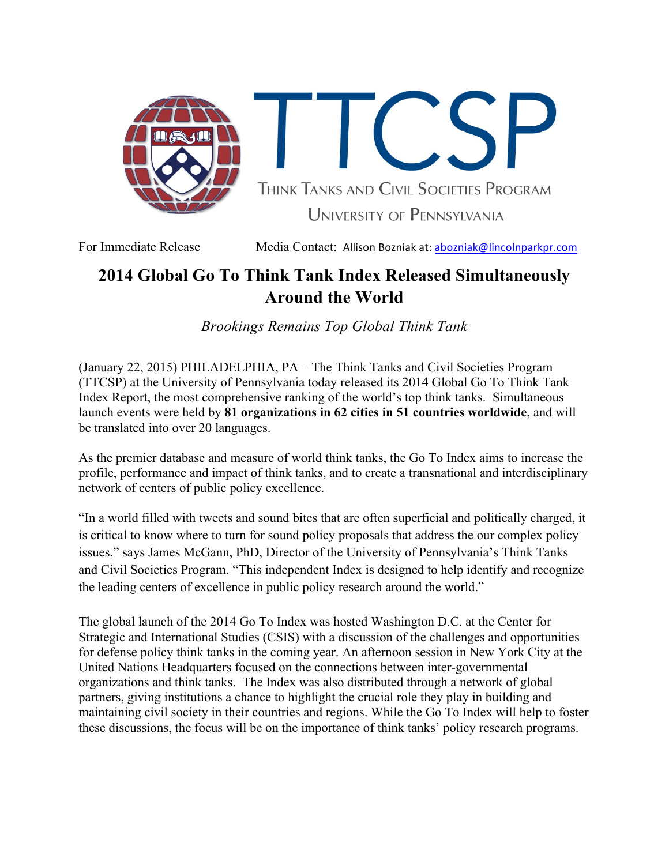

THINK TANKS AND CIVIL SOCIETIES PROGRAM UNIVERSITY OF PENNSYLVANIA

For Immediate Release Media Contact: Allison Bozniak at: abozniak@lincolnparkpr.com

## **2014 Global Go To Think Tank Index Released Simultaneously Around the World**

*Brookings Remains Top Global Think Tank*

(January 22, 2015) PHILADELPHIA, PA – The Think Tanks and Civil Societies Program (TTCSP) at the University of Pennsylvania today released its 2014 Global Go To Think Tank Index Report, the most comprehensive ranking of the world's top think tanks. Simultaneous launch events were held by **81 organizations in 62 cities in 51 countries worldwide**, and will be translated into over 20 languages.

As the premier database and measure of world think tanks, the Go To Index aims to increase the profile, performance and impact of think tanks, and to create a transnational and interdisciplinary network of centers of public policy excellence.

"In a world filled with tweets and sound bites that are often superficial and politically charged, it is critical to know where to turn for sound policy proposals that address the our complex policy issues," says James McGann, PhD, Director of the University of Pennsylvania's Think Tanks and Civil Societies Program. "This independent Index is designed to help identify and recognize the leading centers of excellence in public policy research around the world."

The global launch of the 2014 Go To Index was hosted Washington D.C. at the Center for Strategic and International Studies (CSIS) with a discussion of the challenges and opportunities for defense policy think tanks in the coming year. An afternoon session in New York City at the United Nations Headquarters focused on the connections between inter-governmental organizations and think tanks. The Index was also distributed through a network of global partners, giving institutions a chance to highlight the crucial role they play in building and maintaining civil society in their countries and regions. While the Go To Index will help to foster these discussions, the focus will be on the importance of think tanks' policy research programs.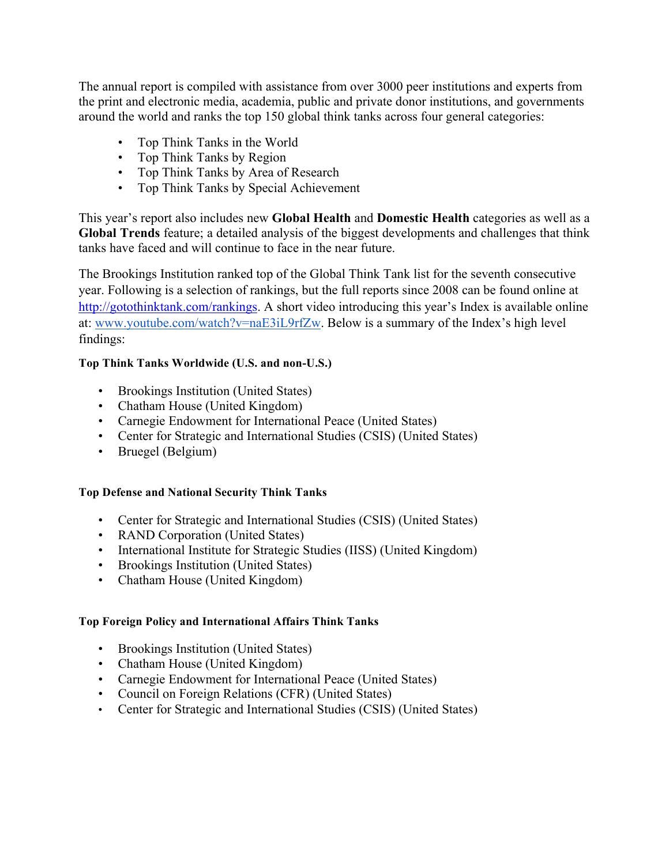The annual report is compiled with assistance from over 3000 peer institutions and experts from the print and electronic media, academia, public and private donor institutions, and governments around the world and ranks the top 150 global think tanks across four general categories:

- Top Think Tanks in the World
- Top Think Tanks by Region
- Top Think Tanks by Area of Research
- Top Think Tanks by Special Achievement

This year's report also includes new **Global Health** and **Domestic Health** categories as well as a **Global Trends** feature; a detailed analysis of the biggest developments and challenges that think tanks have faced and will continue to face in the near future.

The Brookings Institution ranked top of the Global Think Tank list for the seventh consecutive year. Following is a selection of rankings, but the full reports since 2008 can be found online at http://gotothinktank.com/rankings. A short video introducing this year's Index is available online at: www.youtube.com/watch?v=naE3iL9rfZw. Below is a summary of the Index's high level findings:

## **Top Think Tanks Worldwide (U.S. and non-U.S.)**

- Brookings Institution (United States)
- Chatham House (United Kingdom)
- Carnegie Endowment for International Peace (United States)
- Center for Strategic and International Studies (CSIS) (United States)
- Bruegel (Belgium)

## **Top Defense and National Security Think Tanks**

- Center for Strategic and International Studies (CSIS) (United States)
- RAND Corporation (United States)
- International Institute for Strategic Studies (IISS) (United Kingdom)
- Brookings Institution (United States)
- Chatham House (United Kingdom)

### **Top Foreign Policy and International Affairs Think Tanks**

- Brookings Institution (United States)
- Chatham House (United Kingdom)
- Carnegie Endowment for International Peace (United States)
- Council on Foreign Relations (CFR) (United States)
- Center for Strategic and International Studies (CSIS) (United States)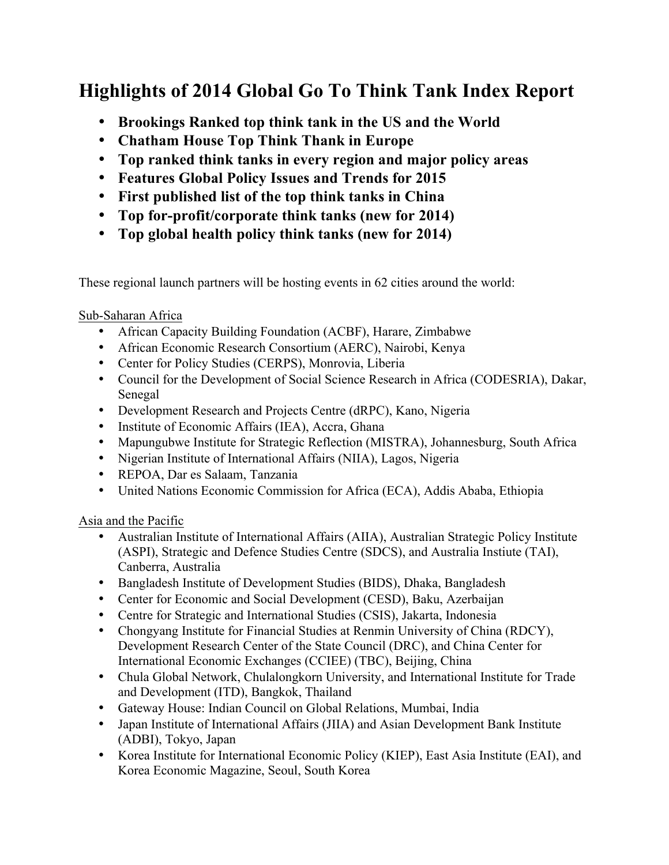# **Highlights of 2014 Global Go To Think Tank Index Report**

- **Brookings Ranked top think tank in the US and the World**
- **Chatham House Top Think Thank in Europe**
- **Top ranked think tanks in every region and major policy areas**
- **Features Global Policy Issues and Trends for 2015**
- **First published list of the top think tanks in China**
- **Top for-profit/corporate think tanks (new for 2014)**
- **Top global health policy think tanks (new for 2014)**

These regional launch partners will be hosting events in 62 cities around the world:

## Sub-Saharan Africa

- African Capacity Building Foundation (ACBF), Harare, Zimbabwe
- African Economic Research Consortium (AERC), Nairobi, Kenya
- Center for Policy Studies (CERPS), Monrovia, Liberia
- Council for the Development of Social Science Research in Africa (CODESRIA), Dakar, Senegal
- Development Research and Projects Centre (dRPC), Kano, Nigeria
- Institute of Economic Affairs (IEA), Accra, Ghana
- Mapungubwe Institute for Strategic Reflection (MISTRA), Johannesburg, South Africa
- Nigerian Institute of International Affairs (NIIA), Lagos, Nigeria
- REPOA, Dar es Salaam, Tanzania
- United Nations Economic Commission for Africa (ECA), Addis Ababa, Ethiopia

Asia and the Pacific

- Australian Institute of International Affairs (AIIA), Australian Strategic Policy Institute (ASPI), Strategic and Defence Studies Centre (SDCS), and Australia Instiute (TAI), Canberra, Australia
- Bangladesh Institute of Development Studies (BIDS), Dhaka, Bangladesh
- Center for Economic and Social Development (CESD), Baku, Azerbaijan
- Centre for Strategic and International Studies (CSIS), Jakarta, Indonesia
- Chongyang Institute for Financial Studies at Renmin University of China (RDCY), Development Research Center of the State Council (DRC), and China Center for International Economic Exchanges (CCIEE) (TBC), Beijing, China
- Chula Global Network, Chulalongkorn University, and International Institute for Trade and Development (ITD), Bangkok, Thailand
- Gateway House: Indian Council on Global Relations, Mumbai, India
- Japan Institute of International Affairs (JIIA) and Asian Development Bank Institute (ADBI), Tokyo, Japan
- Korea Institute for International Economic Policy (KIEP), East Asia Institute (EAI), and Korea Economic Magazine, Seoul, South Korea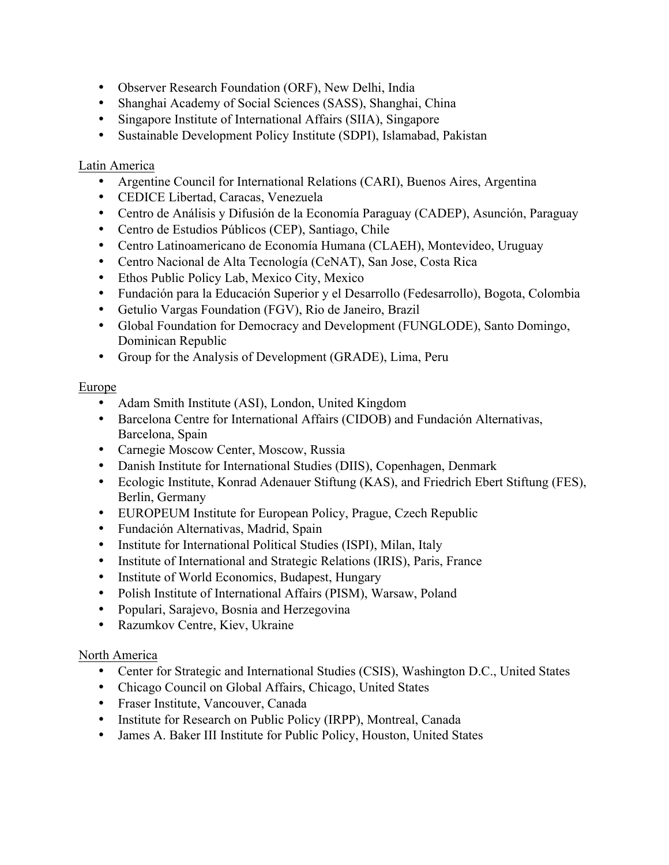- Observer Research Foundation (ORF), New Delhi, India
- Shanghai Academy of Social Sciences (SASS), Shanghai, China
- Singapore Institute of International Affairs (SIIA), Singapore
- Sustainable Development Policy Institute (SDPI), Islamabad, Pakistan

## Latin America

- Argentine Council for International Relations (CARI), Buenos Aires, Argentina
- CEDICE Libertad, Caracas, Venezuela
- Centro de Análisis y Difusión de la Economía Paraguay (CADEP), Asunción, Paraguay
- Centro de Estudios Públicos (CEP), Santiago, Chile
- Centro Latinoamericano de Economía Humana (CLAEH), Montevideo, Uruguay
- Centro Nacional de Alta Tecnología (CeNAT), San Jose, Costa Rica
- Ethos Public Policy Lab, Mexico City, Mexico
- Fundación para la Educación Superior y el Desarrollo (Fedesarrollo), Bogota, Colombia
- Getulio Vargas Foundation (FGV), Rio de Janeiro, Brazil
- Global Foundation for Democracy and Development (FUNGLODE), Santo Domingo, Dominican Republic
- Group for the Analysis of Development (GRADE), Lima, Peru

## Europe

- Adam Smith Institute (ASI), London, United Kingdom
- Barcelona Centre for International Affairs (CIDOB) and Fundación Alternativas, Barcelona, Spain
- Carnegie Moscow Center, Moscow, Russia
- Danish Institute for International Studies (DIIS), Copenhagen, Denmark
- Ecologic Institute, Konrad Adenauer Stiftung (KAS), and Friedrich Ebert Stiftung (FES), Berlin, Germany
- EUROPEUM Institute for European Policy, Prague, Czech Republic
- Fundación Alternativas, Madrid, Spain
- Institute for International Political Studies (ISPI), Milan, Italy
- Institute of International and Strategic Relations (IRIS), Paris, France
- Institute of World Economics, Budapest, Hungary
- Polish Institute of International Affairs (PISM), Warsaw, Poland
- Populari, Sarajevo, Bosnia and Herzegovina
- Razumkov Centre, Kiev, Ukraine

## North America

- Center for Strategic and International Studies (CSIS), Washington D.C., United States
- Chicago Council on Global Affairs, Chicago, United States
- Fraser Institute, Vancouver, Canada
- Institute for Research on Public Policy (IRPP), Montreal, Canada
- James A. Baker III Institute for Public Policy, Houston, United States